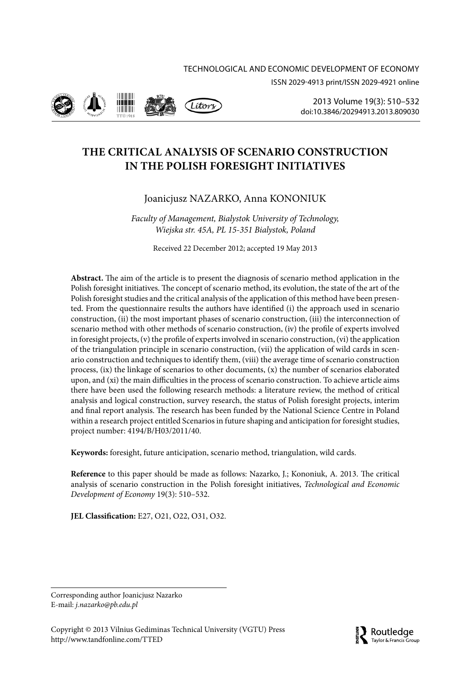# Technological and economic development OF ECONOMY ISSN 2029-4913 print/ISSN 2029-4921 online



2013 Volume 19(3): 510–532 [doi:10.3846/20294913.2013.809030](http://dx.doi.org/10.3846/20294913.2013.809030)

# **THE CRITICAL ANALYSIS OF SCENARIO CONSTRUCTION IN THE POLISH FORESIGHT INITIATIVES**

# Joanicjusz NAZARKO, Anna KONONIUK

*Faculty of Management, Bialystok University of Technology, Wiejska str. 45A, PL 15-351 Bialystok, Poland*

Received 22 December 2012; accepted 19 May 2013

**Abstract.** The aim of the article is to present the diagnosis of scenario method application in the Polish foresight initiatives. The concept of scenario method, its evolution, the state of the art of the Polish foresight studies and the critical analysis of the application of this method have been presented. From the questionnaire results the authors have identified (i) the approach used in scenario construction, (ii) the most important phases of scenario construction, (iii) the interconnection of scenario method with other methods of scenario construction, (iv) the profile of experts involved in foresight projects, (v) the profile of experts involved in scenario construction, (vi) the application of the triangulation principle in scenario construction, (vii) the application of wild cards in scenario construction and techniques to identify them, (viii) the average time of scenario construction process, (ix) the linkage of scenarios to other documents, (x) the number of scenarios elaborated upon, and (xi) the main difficulties in the process of scenario construction. To achieve article aims there have been used the following research methods: a literature review, the method of critical analysis and logical construction, survey research, the status of Polish foresight projects, interim and final report analysis. The research has been funded by the National Science Centre in Poland within a research project entitled Scenarios in future shaping and anticipation for foresight studies, project number: 4194/B/H03/2011/40.

**Keywords:** foresight, future anticipation, scenario method, triangulation, wild cards.

**Reference** to this paper should be made as follows: Nazarko, J.; Kononiuk, A. 2013. The critical analysis of scenario construction in the Polish foresight initiatives, *Technological and Economic Development of Economy* 19(3): 510–532.

**JEL Classification:** E27, O21, O22, O31, O32.

Corresponding author Joanicjusz Nazarko E-mail: *[j.nazarko@pb.edu.pl](mailto:j.nazarko@pb.edu.pl)*

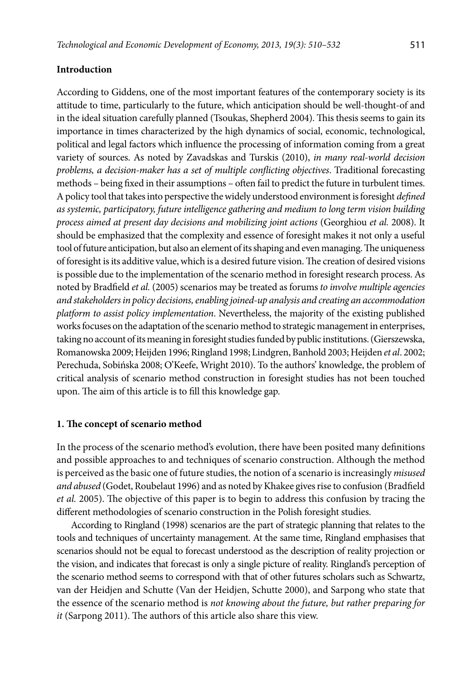#### **Introduction**

According to Giddens, one of the most important features of the contemporary society is its attitude to time, particularly to the future, which anticipation should be well-thought-of and in the ideal situation carefully planned (Tsoukas, Shepherd 2004). This thesis seems to gain its importance in times characterized by the high dynamics of social, economic, technological, political and legal factors which influence the processing of information coming from a great variety of sources. As noted by Zavadskas and Turskis (2010), *in many real-world decision problems, a decision-maker has a set of multiple conflicting objectives*. Traditional forecasting methods – being fixed in their assumptions – often fail to predict the future in turbulent times. A policy tool that takes into perspective the widely understood environment is foresight *defined as systemic, participatory, future intelligence gathering and medium to long term vision building process aimed at present day decisions and mobilizing joint actions* (Georghiou *et al.* 2008). It should be emphasized that the complexity and essence of foresight makes it not only a useful tool of future anticipation, but also an element of its shaping and even managing. The uniqueness of foresight is its additive value, which is a desired future vision. The creation of desired visions is possible due to the implementation of the scenario method in foresight research process. As noted by Bradfield *et al.* (2005) scenarios may be treated as forums *to involve multiple agencies and stakeholders in policy decisions, enabling joined-up analysis and creating an accommodation platform to assist policy implementation*. Nevertheless, the majority of the existing published works focuses on the adaptation of the scenario method to strategic management in enterprises, taking no account of its meaning in foresight studies funded by public institutions. (Gierszewska, Romanowska 2009; Heijden 1996; Ringland 1998; Lindgren, Banhold 2003; Heijden *et al*. 2002; Perechuda, Sobińska 2008; O'Keefe, Wright 2010). To the authors' knowledge, the problem of critical analysis of scenario method construction in foresight studies has not been touched upon. The aim of this article is to fill this knowledge gap.

### **1. The concept of scenario method**

In the process of the scenario method's evolution, there have been posited many definitions and possible approaches to and techniques of scenario construction. Although the method is perceived as the basic one of future studies, the notion of a scenario is increasingly *misused and abused* (Godet, Roubelaut 1996) and as noted by Khakee gives rise to confusion (Bradfield *et al.* 2005). The objective of this paper is to begin to address this confusion by tracing the different methodologies of scenario construction in the Polish foresight studies.

According to Ringland (1998) scenarios are the part of strategic planning that relates to the tools and techniques of uncertainty management. At the same time, Ringland emphasises that scenarios should not be equal to forecast understood as the description of reality projection or the vision, and indicates that forecast is only a single picture of reality. Ringland's perception of the scenario method seems to correspond with that of other futures scholars such as Schwartz, van der Heidjen and Schutte (Van der Heidjen, Schutte 2000), and Sarpong who state that the essence of the scenario method is *not knowing about the future, but rather preparing for it* (Sarpong 2011). The authors of this article also share this view.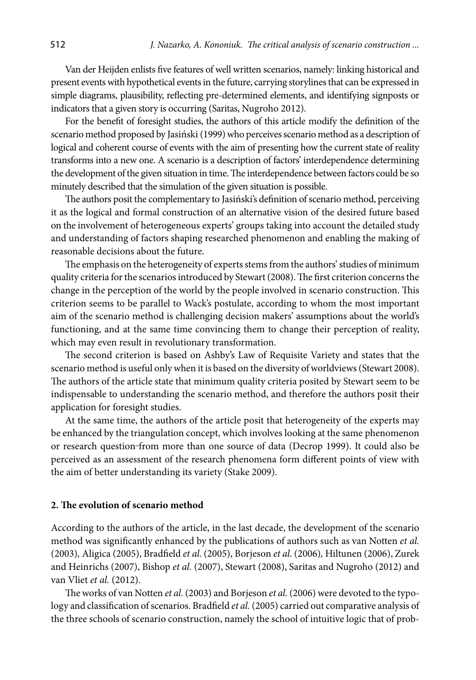Van der Heijden enlists five features of well written scenarios, namely: linking historical and present events with hypothetical events in the future, carrying storylines that can be expressed in simple diagrams, plausibility, reflecting pre-determined elements, and identifying signposts or indicators that a given story is occurring (Saritas, Nugroho 2012).

For the benefit of foresight studies, the authors of this article modify the definition of the scenario method proposed by Jasiński (1999) who perceives scenario method as a description of logical and coherent course of events with the aim of presenting how the current state of reality transforms into a new one. A scenario is a description of factors' interdependence determining the development of the given situation in time. The interdependence between factors could be so minutely described that the simulation of the given situation is possible.

The authors posit the complementary to Jasiński's definition of scenario method, perceiving it as the logical and formal construction of an alternative vision of the desired future based on the involvement of heterogeneous experts' groups taking into account the detailed study and understanding of factors shaping researched phenomenon and enabling the making of reasonable decisions about the future.

The emphasis on the heterogeneity of experts stems from the authors' studies of minimum quality criteria for the scenarios introduced by Stewart (2008). The first criterion concerns the change in the perception of the world by the people involved in scenario construction. This criterion seems to be parallel to Wack's postulate, according to whom the most important aim of the scenario method is challenging decision makers' assumptions about the world's functioning, and at the same time convincing them to change their perception of reality, which may even result in revolutionary transformation.

The second criterion is based on Ashby's Law of Requisite Variety and states that the scenario method is useful only when it is based on the diversity of worldviews (Stewart 2008). The authors of the article state that minimum quality criteria posited by Stewart seem to be indispensable to understanding the scenario method, and therefore the authors posit their application for foresight studies.

At the same time, the authors of the article posit that heterogeneity of the experts may be enhanced by the triangulation concept, which involves looking at the same phenomenon or research question from more than one source of data (Decrop 1999). It could also be perceived as an assessment of the research phenomena form different points of view with the aim of better understanding its variety (Stake 2009).

#### **2. The evolution of scenario method**

According to the authors of the article, in the last decade, the development of the scenario method was significantly enhanced by the publications of authors such as van Notten *et al.*  (2003)*,* Aligica (2005), Bradfield *et al*. (2005), Borjeson *et al.* (2006)*,* Hiltunen (2006), Zurek and Heinrichs (2007), Bishop *et al.* (2007), Stewart (2008), Saritas and Nugroho (2012) and van Vliet *et al.* (2012).

The works of van Notten *et al.* (2003) and Borjeson *et al.* (2006) were devoted to the typology and classification of scenarios. Bradfield *et al.* (2005) carried out comparative analysis of the three schools of scenario construction, namely the school of intuitive logic that of prob-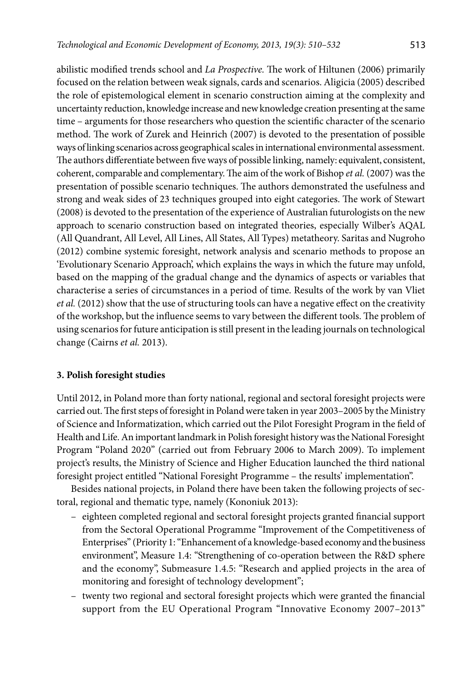abilistic modified trends school and *La Prospective.* The work of Hiltunen (2006) primarily focused on the relation between weak signals, cards and scenarios. Aligicia (2005) described the role of epistemological element in scenario construction aiming at the complexity and uncertainty reduction, knowledge increase and new knowledge creation presenting at the same time – arguments for those researchers who question the scientific character of the scenario method. The work of Zurek and Heinrich (2007) is devoted to the presentation of possible ways of linking scenarios across geographical scales in international environmental assessment. The authors differentiate between five ways of possible linking, namely: equivalent, consistent, coherent, comparable and complementary. The aim of the work of Bishop *et al.* (2007) was the presentation of possible scenario techniques. The authors demonstrated the usefulness and strong and weak sides of 23 techniques grouped into eight categories. The work of Stewart (2008) is devoted to the presentation of the experience of Australian futurologists on the new approach to scenario construction based on integrated theories, especially Wilber's AQAL (All Quandrant, All Level, All Lines, All States, All Types) metatheory. Saritas and Nugroho (2012) combine systemic foresight, network analysis and scenario methods to propose an 'Evolutionary Scenario Approach', which explains the ways in which the future may unfold, based on the mapping of the gradual change and the dynamics of aspects or variables that characterise a series of circumstances in a period of time. Results of the work by van Vliet *et al.* (2012) show that the use of structuring tools can have a negative effect on the creativity of the workshop, but the influence seems to vary between the different tools. The problem of using scenarios for future anticipation is still present in the leading journals on technological change (Cairns *et al.* 2013).

### **3. Polish foresight studies**

Until 2012, in Poland more than forty national, regional and sectoral foresight projects were carried out. The first steps of foresight in Poland were taken in year 2003–2005 by the Ministry of Science and Informatization, which carried out the Pilot Foresight Program in the field of Health and Life. An important landmark in Polish foresight history was the National Foresight Program "Poland 2020" (carried out from February 2006 to March 2009). To implement project's results, the Ministry of Science and Higher Education launched the third national foresight project entitled "National Foresight Programme – the results' implementation".

Besides national projects, in Poland there have been taken the following projects of sectoral, regional and thematic type, namely (Kononiuk 2013):

- eighteen completed regional and sectoral foresight projects granted financial support from the Sectoral Operational Programme "Improvement of the Competitiveness of Enterprises" (Priority 1: "Enhancement of a knowledge-based economy and the business environment", Measure 1.4: "Strengthening of co-operation between the R&D sphere and the economy", Submeasure 1.4.5: "Research and applied projects in the area of monitoring and foresight of technology development";
- twenty two regional and sectoral foresight projects which were granted the financial support from the EU Operational Program "Innovative Economy 2007–2013"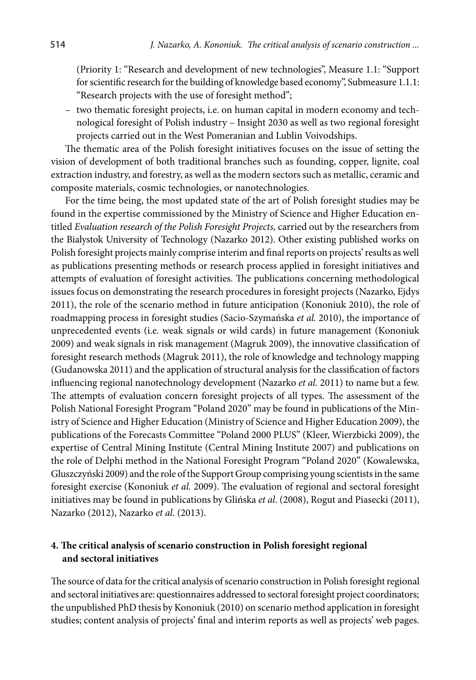(Priority 1: "Research and development of new technologies", Measure 1.1: "Support for scientific research for the building of knowledge based economy", Submeasure 1.1.1: "Research projects with the use of foresight method";

– two thematic foresight projects, i.e. on human capital in modern economy and technological foresight of Polish industry – Insight 2030 as well as two regional foresight projects carried out in the West Pomeranian and Lublin Voivodships.

The thematic area of the Polish foresight initiatives focuses on the issue of setting the vision of development of both traditional branches such as founding, copper, lignite, coal extraction industry, and forestry, as well as the modern sectors such as metallic, ceramic and composite materials, cosmic technologies, or nanotechnologies.

For the time being, the most updated state of the art of Polish foresight studies may be found in the expertise commissioned by the Ministry of Science and Higher Education entitled *Evaluation research of the Polish Foresight Projects,* carried out by the researchers from the Bialystok University of Technology (Nazarko 2012). Other existing published works on Polish foresight projects mainly comprise interim and final reports on projects' results as well as publications presenting methods or research process applied in foresight initiatives and attempts of evaluation of foresight activities. The publications concerning methodological issues focus on demonstrating the research procedures in foresight projects (Nazarko, Ejdys 2011), the role of the scenario method in future anticipation (Kononiuk 2010), the role of roadmapping process in foresight studies (Sacio-Szymańska *et al.* 2010), the importance of unprecedented events (i.e. weak signals or wild cards) in future management (Kononiuk 2009) and weak signals in risk management (Magruk 2009), the innovative classification of foresight research methods (Magruk 2011), the role of knowledge and technology mapping (Gudanowska 2011) and the application of structural analysis for the classification of factors influencing regional nanotechnology development (Nazarko *et al.* 2011) to name but a few. The attempts of evaluation concern foresight projects of all types. The assessment of the Polish National Foresight Program "Poland 2020" may be found in publications of the Ministry of Science and Higher Education (Ministry of Science and Higher Education 2009), the publications of the Forecasts Committee "Poland 2000 PLUS" (Kleer, Wierzbicki 2009), the expertise of Central Mining Institute (Central Mining Institute 2007) and publications on the role of Delphi method in the National Foresight Program "Poland 2020" (Kowalewska, Gluszczyński 2009) and the role of the Support Group comprising young scientists in the same foresight exercise (Kononiuk *et al.* 2009). The evaluation of regional and sectoral foresight initiatives may be found in publications by Glińska *et al*. (2008), Rogut and Piasecki (2011), Nazarko (2012), Nazarko *et al*. (2013).

# **4. The critical analysis of scenario construction in Polish foresight regional and sectoral initiatives**

The source of data for the critical analysis of scenario construction in Polish foresight regional and sectoral initiatives are: questionnaires addressed to sectoral foresight project coordinators; the unpublished PhD thesis by Kononiuk (2010) on scenario method application in foresight studies; content analysis of projects' final and interim reports as well as projects' web pages.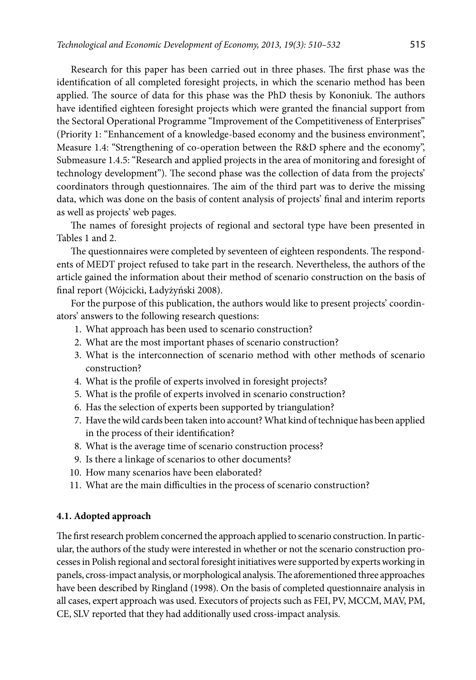Research for this paper has been carried out in three phases. The first phase was the identification of all completed foresight projects, in which the scenario method has been applied. The source of data for this phase was the PhD thesis by Kononiuk. The authors have identified eighteen foresight projects which were granted the financial support from the Sectoral Operational Programme "Improvement of the Competitiveness of Enterprises" (Priority 1: "Enhancement of a knowledge-based economy and the business environment", Measure 1.4: "Strengthening of co-operation between the R&D sphere and the economy", Submeasure 1.4.5: "Research and applied projects in the area of monitoring and foresight of technology development"). The second phase was the collection of data from the projects' coordinators through questionnaires. The aim of the third part was to derive the missing data, which was done on the basis of content analysis of projects' final and interim reports as well as projects' web pages.

The names of foresight projects of regional and sectoral type have been presented in Tables 1 and 2.

The questionnaires were completed by seventeen of eighteen respondents. The respondents of MEDT project refused to take part in the research. Nevertheless, the authors of the article gained the information about their method of scenario construction on the basis of final report (Wójcicki, Ładyżyński 2008).

For the purpose of this publication, the authors would like to present projects' coordinators' answers to the following research questions:

- 1. What approach has been used to scenario construction?
- 2. What are the most important phases of scenario construction?
- 3. What is the interconnection of scenario method with other methods of scenario construction?
- 4. What is the profile of experts involved in foresight projects?
- 5. What is the profile of experts involved in scenario construction?
- 6. Has the selection of experts been supported by triangulation?
- 7. Have the wild cards been taken into account? What kind of technique has been applied in the process of their identification?
- 8. What is the average time of scenario construction process?
- 9. Is there a linkage of scenarios to other documents?
- 10. How many scenarios have been elaborated?
- 11. What are the main difficulties in the process of scenario construction?

### **4.1. Adopted approach**

The first research problem concerned the approach applied to scenario construction. In particular, the authors of the study were interested in whether or not the scenario construction processes in Polish regional and sectoral foresight initiatives were supported by experts working in panels, cross-impact analysis, or morphological analysis. The aforementioned three approaches have been described by Ringland (1998). On the basis of completed questionnaire analysis in all cases, expert approach was used. Executors of projects such as FEI, PV, MCCM, MAV, PM, CE, SLV reported that they had additionally used cross-impact analysis.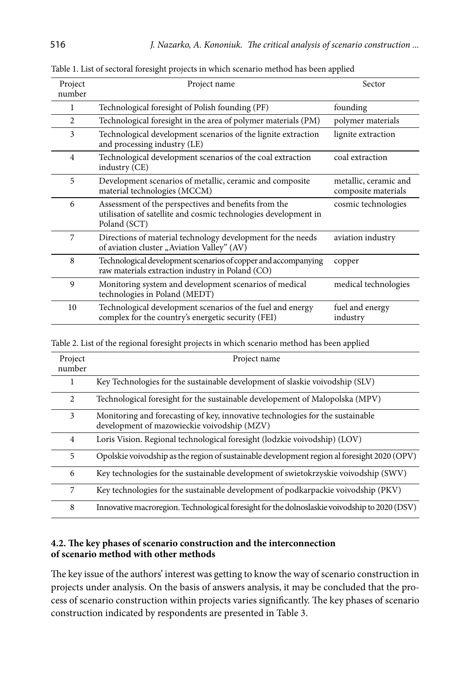| Project<br>number | Project name                                                                                                                            | Sector                                       |
|-------------------|-----------------------------------------------------------------------------------------------------------------------------------------|----------------------------------------------|
| 1                 | Technological foresight of Polish founding (PF)                                                                                         | founding                                     |
| 2                 | Technological foresight in the area of polymer materials (PM)                                                                           | polymer materials                            |
| 3                 | Technological development scenarios of the lignite extraction<br>and processing industry (LE)                                           | lignite extraction                           |
| 4                 | Technological development scenarios of the coal extraction<br>industry (CE)                                                             | coal extraction                              |
| 5                 | Development scenarios of metallic, ceramic and composite<br>material technologies (MCCM)                                                | metallic, ceramic and<br>composite materials |
| 6                 | Assessment of the perspectives and benefits from the<br>utilisation of satellite and cosmic technologies development in<br>Poland (SCT) | cosmic technologies                          |
| 7                 | Directions of material technology development for the needs<br>of aviation cluster "Aviation Valley" (AV)                               | aviation industry                            |
| 8                 | Technological development scenarios of copper and accompanying<br>raw materials extraction industry in Poland (CO)                      | copper                                       |
| 9                 | Monitoring system and development scenarios of medical<br>technologies in Poland (MEDT)                                                 | medical technologies                         |
| 10                | Technological development scenarios of the fuel and energy<br>complex for the country's energetic security (FEI)                        | fuel and energy<br>industry                  |

Table 1. List of sectoral foresight projects in which scenario method has been applied

Table 2. List of the regional foresight projects in which scenario method has been applied

| Project<br>number | Project name                                                                                                                  |
|-------------------|-------------------------------------------------------------------------------------------------------------------------------|
| -                 | Key Technologies for the sustainable development of slaskie voivodship (SLV)                                                  |
| 2                 | Technological foresight for the sustainable developement of Malopolska (MPV)                                                  |
| 3                 | Monitoring and forecasting of key, innovative technologies for the sustainable<br>development of mazowieckie voivodship (MZV) |
| 4                 | Loris Vision. Regional technological foresight (lodzkie voivodship) (LOV)                                                     |
| 5                 | Opolskie voivodship as the region of sustainable development region al foresight 2020 (OPV)                                   |
| 6                 | Key technologies for the sustainable development of swietokrzyskie voivodship (SWV)                                           |
| 7                 | Key technologies for the sustainable development of podkarpackie voivodship (PKV)                                             |
| 8                 | Innovative macroregion. Technological foresight for the dolnoslaskie voivodship to 2020 (DSV)                                 |

# **4.2. The key phases of scenario construction and the interconnection of scenario method with other methods**

The key issue of the authors' interest was getting to know the way of scenario construction in projects under analysis. On the basis of answers analysis, it may be concluded that the process of scenario construction within projects varies significantly. The key phases of scenario construction indicated by respondents are presented in Table 3.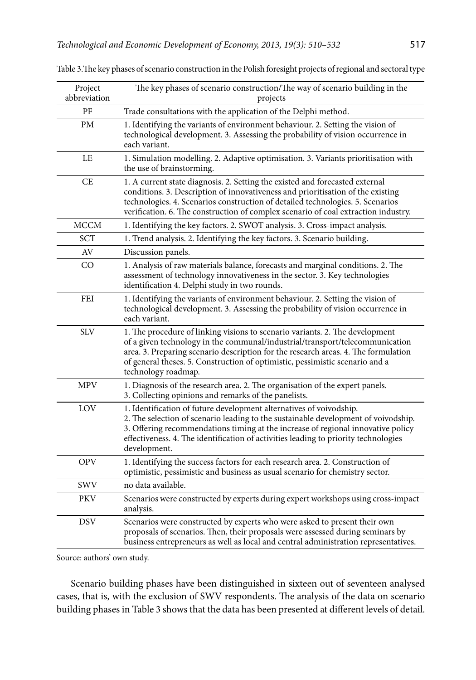| Project<br>abbreviation | The key phases of scenario construction/The way of scenario building in the<br>projects                                                                                                                                                                                                                                                                   |  |
|-------------------------|-----------------------------------------------------------------------------------------------------------------------------------------------------------------------------------------------------------------------------------------------------------------------------------------------------------------------------------------------------------|--|
| РF                      | Trade consultations with the application of the Delphi method.                                                                                                                                                                                                                                                                                            |  |
| PM                      | 1. Identifying the variants of environment behaviour. 2. Setting the vision of<br>technological development. 3. Assessing the probability of vision occurrence in<br>each variant.                                                                                                                                                                        |  |
| LE                      | 1. Simulation modelling. 2. Adaptive optimisation. 3. Variants prioritisation with<br>the use of brainstorming.                                                                                                                                                                                                                                           |  |
| СE                      | 1. A current state diagnosis. 2. Setting the existed and forecasted external<br>conditions. 3. Description of innovativeness and prioritisation of the existing<br>technologies. 4. Scenarios construction of detailed technologies. 5. Scenarios<br>verification. 6. The construction of complex scenario of coal extraction industry.                   |  |
| <b>MCCM</b>             | 1. Identifying the key factors. 2. SWOT analysis. 3. Cross-impact analysis.                                                                                                                                                                                                                                                                               |  |
| SCT                     | 1. Trend analysis. 2. Identifying the key factors. 3. Scenario building.                                                                                                                                                                                                                                                                                  |  |
| AV                      | Discussion panels.                                                                                                                                                                                                                                                                                                                                        |  |
| CO                      | 1. Analysis of raw materials balance, forecasts and marginal conditions. 2. The<br>assessment of technology innovativeness in the sector. 3. Key technologies<br>identification 4. Delphi study in two rounds.                                                                                                                                            |  |
| FEI                     | 1. Identifying the variants of environment behaviour. 2. Setting the vision of<br>technological development. 3. Assessing the probability of vision occurrence in<br>each variant.                                                                                                                                                                        |  |
| <b>SLV</b>              | 1. The procedure of linking visions to scenario variants. 2. The development<br>of a given technology in the communal/industrial/transport/telecommunication<br>area. 3. Preparing scenario description for the research areas. 4. The formulation<br>of general theses. 5. Construction of optimistic, pessimistic scenario and a<br>technology roadmap. |  |
| <b>MPV</b>              | 1. Diagnosis of the research area. 2. The organisation of the expert panels.<br>3. Collecting opinions and remarks of the panelists.                                                                                                                                                                                                                      |  |
| LOV                     | 1. Identification of future development alternatives of voivodship.<br>2. The selection of scenario leading to the sustainable development of voivodship.<br>3. Offering recommendations timing at the increase of regional innovative policy<br>effectiveness. 4. The identification of activities leading to priority technologies<br>development.      |  |
| <b>OPV</b>              | 1. Identifying the success factors for each research area. 2. Construction of<br>optimistic, pessimistic and business as usual scenario for chemistry sector.                                                                                                                                                                                             |  |
| SWV                     | no data available.                                                                                                                                                                                                                                                                                                                                        |  |
| <b>PKV</b>              | Scenarios were constructed by experts during expert workshops using cross-impact<br>analysis.                                                                                                                                                                                                                                                             |  |
| <b>DSV</b>              | Scenarios were constructed by experts who were asked to present their own<br>proposals of scenarios. Then, their proposals were assessed during seminars by<br>business entrepreneurs as well as local and central administration representatives.                                                                                                        |  |

Table 3.The key phases of scenario construction in the Polish foresight projects of regional and sectoral type

Source: authors' own study.

Scenario building phases have been distinguished in sixteen out of seventeen analysed cases, that is, with the exclusion of SWV respondents. The analysis of the data on scenario building phases in Table 3 shows that the data has been presented at different levels of detail.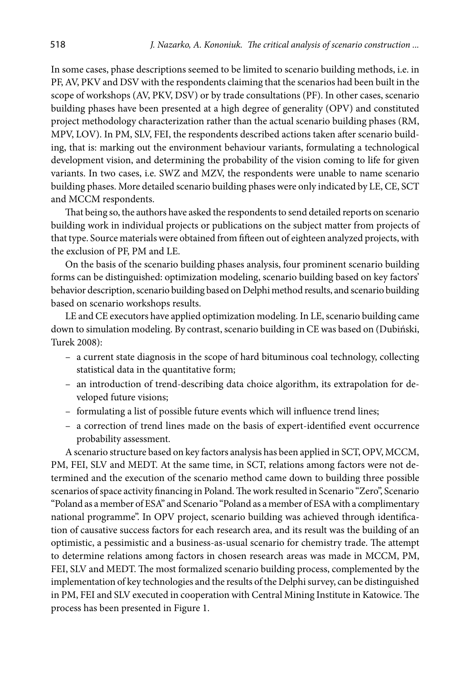In some cases, phase descriptions seemed to be limited to scenario building methods, i.e. in PF, AV, PKV and DSV with the respondents claiming that the scenarios had been built in the scope of workshops (AV, PKV, DSV) or by trade consultations (PF). In other cases, scenario building phases have been presented at a high degree of generality (OPV) and constituted project methodology characterization rather than the actual scenario building phases (RM, MPV, LOV). In PM, SLV, FEI, the respondents described actions taken after scenario building, that is: marking out the environment behaviour variants, formulating a technological development vision, and determining the probability of the vision coming to life for given variants. In two cases, i.e. SWZ and MZV, the respondents were unable to name scenario building phases. More detailed scenario building phases were only indicated by LE, CE, SCT and MCCM respondents.

That being so, the authors have asked the respondents to send detailed reports on scenario building work in individual projects or publications on the subject matter from projects of that type. Source materials were obtained from fifteen out of eighteen analyzed projects, with the exclusion of PF, PM and LE.

On the basis of the scenario building phases analysis, four prominent scenario building forms can be distinguished: optimization modeling, scenario building based on key factors' behavior description, scenario building based on Delphi method results, and scenario building based on scenario workshops results.

LE and CE executors have applied optimization modeling. In LE, scenario building came down to simulation modeling. By contrast, scenario building in CE was based on (Dubiński, Turek 2008):

- a current state diagnosis in the scope of hard bituminous coal technology, collecting statistical data in the quantitative form;
- an introduction of trend-describing data choice algorithm, its extrapolation for developed future visions;
- formulating a list of possible future events which will influence trend lines;
- a correction of trend lines made on the basis of expert-identified event occurrence probability assessment.

A scenario structure based on key factors analysis has been applied in SCT, OPV, MCCM, PM, FEI, SLV and MEDT. At the same time, in SCT, relations among factors were not determined and the execution of the scenario method came down to building three possible scenarios of space activity financing in Poland. The work resulted in Scenario "Zero", Scenario "Poland as a member of ESA" and Scenario "Poland as a member of ESA with a complimentary national programme". In OPV project, scenario building was achieved through identification of causative success factors for each research area, and its result was the building of an optimistic, a pessimistic and a business-as-usual scenario for chemistry trade. The attempt to determine relations among factors in chosen research areas was made in MCCM, PM, FEI, SLV and MEDT. The most formalized scenario building process, complemented by the implementation of key technologies and the results of the Delphi survey, can be distinguished in PM, FEI and SLV executed in cooperation with Central Mining Institute in Katowice. The process has been presented in Figure 1.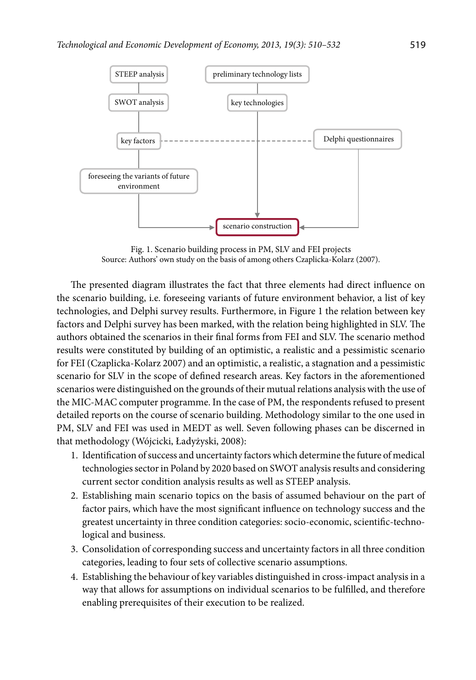

Fig. 1. Scenario building process in PM, SLV and FEI projects Source: Authors' own study on the basis of among others Czaplicka-Kolarz (2007).

The presented diagram illustrates the fact that three elements had direct influence on the scenario building, i.e. foreseeing variants of future environment behavior, a list of key technologies, and Delphi survey results. Furthermore, in Figure 1 the relation between key factors and Delphi survey has been marked, with the relation being highlighted in SLV. The authors obtained the scenarios in their final forms from FEI and SLV. The scenario method results were constituted by building of an optimistic, a realistic and a pessimistic scenario for FEI (Czaplicka-Kolarz 2007) and an optimistic, a realistic, a stagnation and a pessimistic scenario for SLV in the scope of defined research areas. Key factors in the aforementioned scenarios were distinguished on the grounds of their mutual relations analysis with the use of the MIC-MAC computer programme. In the case of PM, the respondents refused to present detailed reports on the course of scenario building. Methodology similar to the one used in PM, SLV and FEI was used in MEDT as well. Seven following phases can be discerned in that methodology (Wójcicki, Ładyżyski, 2008):

- 1. Identification of success and uncertainty factors which determine the future of medical technologies sector in Poland by 2020 based on SWOT analysis results and considering current sector condition analysis results as well as STEEP analysis.
- 2. Establishing main scenario topics on the basis of assumed behaviour on the part of factor pairs, which have the most significant influence on technology success and the greatest uncertainty in three condition categories: socio-economic, scientific-technological and business.
- 3. Consolidation of corresponding success and uncertainty factors in all three condition categories, leading to four sets of collective scenario assumptions.
- 4. Establishing the behaviour of key variables distinguished in cross-impact analysis in a way that allows for assumptions on individual scenarios to be fulfilled, and therefore enabling prerequisites of their execution to be realized.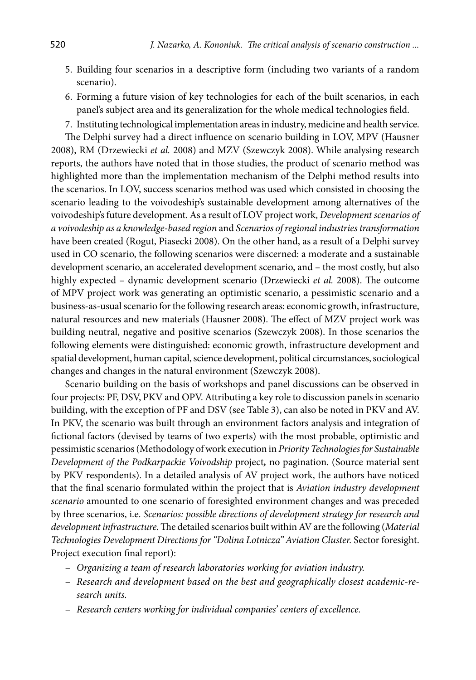- 5. Building four scenarios in a descriptive form (including two variants of a random scenario).
- 6. Forming a future vision of key technologies for each of the built scenarios, in each panel's subject area and its generalization for the whole medical technologies field.
- 7. Instituting technological implementation areas in industry, medicine and health service.

The Delphi survey had a direct influence on scenario building in LOV, MPV (Hausner 2008), RM (Drzewiecki *et al.* 2008) and MZV (Szewczyk 2008). While analysing research reports, the authors have noted that in those studies, the product of scenario method was highlighted more than the implementation mechanism of the Delphi method results into the scenarios. In LOV, success scenarios method was used which consisted in choosing the scenario leading to the voivodeship's sustainable development among alternatives of the voivodeship's future development. As a result of LOV project work, *Development scenarios of a voivodeship as a knowledge-based region* and *Scenarios of regional industries transformation*  have been created (Rogut, Piasecki 2008). On the other hand, as a result of a Delphi survey used in CO scenario, the following scenarios were discerned: a moderate and a sustainable development scenario, an accelerated development scenario, and – the most costly, but also highly expected – dynamic development scenario (Drzewiecki *et al.* 2008). The outcome of MPV project work was generating an optimistic scenario, a pessimistic scenario and a business-as-usual scenario for the following research areas: economic growth, infrastructure, natural resources and new materials (Hausner 2008). The effect of MZV project work was building neutral, negative and positive scenarios (Szewczyk 2008). In those scenarios the following elements were distinguished: economic growth, infrastructure development and spatial development, human capital, science development, political circumstances, sociological changes and changes in the natural environment (Szewczyk 2008).

Scenario building on the basis of workshops and panel discussions can be observed in four projects: PF, DSV, PKV and OPV. Attributing a key role to discussion panels in scenario building, with the exception of PF and DSV (see Table 3), can also be noted in PKV and AV. In PKV, the scenario was built through an environment factors analysis and integration of fictional factors (devised by teams of two experts) with the most probable, optimistic and pessimistic scenarios (Methodology of work execution in *Priority Technologies for Sustainable Development of the Podkarpackie Voivodship* project*,* no pagination. (Source material sent by PKV respondents). In a detailed analysis of AV project work, the authors have noticed that the final scenario formulated within the project that is *Aviation industry development scenario* amounted to one scenario of foresighted environment changes and was preceded by three scenarios, i.e. *Scenarios: possible directions of development strategy for research and development infrastructure*. The detailed scenarios built within AV are the following (*Material Technologies Development Directions for "Dolina Lotnicza" Aviation Cluster.* Sector foresight. Project execution final report):

- *Organizing a team of research laboratories working for aviation industry.*
- *Research and development based on the best and geographically closest academic-research units.*
- *Research centers working for individual companies' centers of excellence.*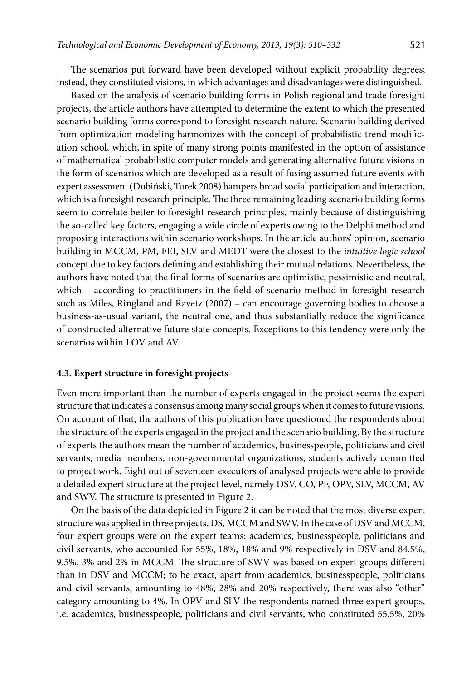The scenarios put forward have been developed without explicit probability degrees; instead, they constituted visions, in which advantages and disadvantages were distinguished.

Based on the analysis of scenario building forms in Polish regional and trade foresight projects, the article authors have attempted to determine the extent to which the presented scenario building forms correspond to foresight research nature. Scenario building derived from optimization modeling harmonizes with the concept of probabilistic trend modification school, which, in spite of many strong points manifested in the option of assistance of mathematical probabilistic computer models and generating alternative future visions in the form of scenarios which are developed as a result of fusing assumed future events with expert assessment (Dubiński, Turek 2008) hampers broad social participation and interaction, which is a foresight research principle. The three remaining leading scenario building forms seem to correlate better to foresight research principles, mainly because of distinguishing the so-called key factors, engaging a wide circle of experts owing to the Delphi method and proposing interactions within scenario workshops. In the article authors' opinion, scenario building in MCCM, PM, FEI, SLV and MEDT were the closest to the *intuitive logic school* concept due to key factors defining and establishing their mutual relations. Nevertheless, the authors have noted that the final forms of scenarios are optimistic, pessimistic and neutral, which – according to practitioners in the field of scenario method in foresight research such as Miles, Ringland and Ravetz (2007) – can encourage governing bodies to choose a business-as-usual variant, the neutral one, and thus substantially reduce the significance of constructed alternative future state concepts. Exceptions to this tendency were only the scenarios within LOV and AV.

## **4.3. Expert structure in foresight projects**

Even more important than the number of experts engaged in the project seems the expert structure that indicates a consensus among many social groups when it comes to future visions. On account of that, the authors of this publication have questioned the respondents about the structure of the experts engaged in the project and the scenario building. By the structure of experts the authors mean the number of academics, businesspeople, politicians and civil servants, media members, non-governmental organizations, students actively committed to project work. Eight out of seventeen executors of analysed projects were able to provide a detailed expert structure at the project level, namely DSV, CO, PF, OPV, SLV, MCCM, AV and SWV. The structure is presented in Figure 2.

On the basis of the data depicted in Figure 2 it can be noted that the most diverse expert structure was applied in three projects, DS, MCCM and SWV. In the case of DSV and MCCM, four expert groups were on the expert teams: academics, businesspeople, politicians and civil servants, who accounted for 55%, 18%, 18% and 9% respectively in DSV and 84.5%, 9.5%, 3% and 2% in MCCM. The structure of SWV was based on expert groups different than in DSV and MCCM; to be exact, apart from academics, businesspeople, politicians and civil servants, amounting to 48%, 28% and 20% respectively, there was also "other" category amounting to 4%. In OPV and SLV the respondents named three expert groups, i.e. academics, businesspeople, politicians and civil servants, who constituted 55.5%, 20%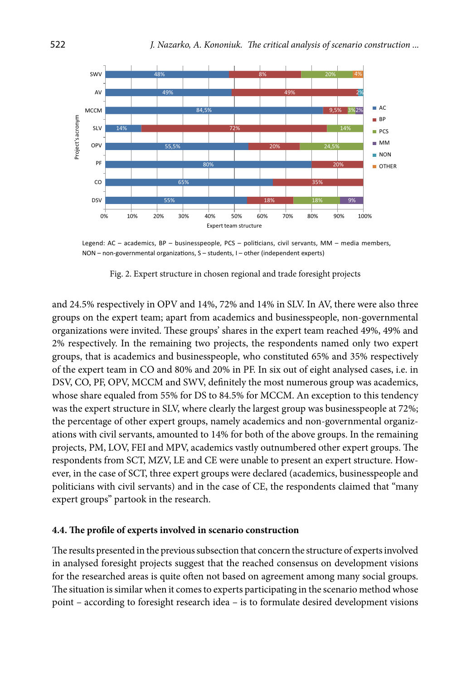

Legend: AC – academics, BP – businesspeople, PCS – politicians, civil servants, MM – media members, NON – non-governmental organizations, S – students, I – other (independent experts)

Fig. 2. Expert structure in chosen regional and trade foresight projects

and 24.5% respectively in OPV and 14%, 72% and 14% in SLV. In AV, there were also three groups on the expert team; apart from academics and businesspeople, non-governmental organizations were invited. These groups' shares in the expert team reached 49%, 49% and 2% respectively. In the remaining two projects, the respondents named only two expert groups, that is academics and businesspeople, who constituted 65% and 35% respectively of the expert team in CO and 80% and 20% in PF. In six out of eight analysed cases, i.e. in DSV, CO, PF, OPV, MCCM and SWV, definitely the most numerous group was academics, whose share equaled from 55% for DS to 84.5% for MCCM. An exception to this tendency was the expert structure in SLV, where clearly the largest group was businesspeople at 72%; the percentage of other expert groups, namely academics and non-governmental organizations with civil servants, amounted to 14% for both of the above groups. In the remaining projects, PM, LOV, FEI and MPV, academics vastly outnumbered other expert groups. The respondents from SCT, MZV, LE and CE were unable to present an expert structure. However, in the case of SCT, three expert groups were declared (academics, businesspeople and politicians with civil servants) and in the case of CE, the respondents claimed that "many expert groups" partook in the research.

#### **4.4. The profile of experts involved in scenario construction**

The results presented in the previous subsection that concern the structure of experts involved in analysed foresight projects suggest that the reached consensus on development visions for the researched areas is quite often not based on agreement among many social groups. The situation is similar when it comes to experts participating in the scenario method whose point – according to foresight research idea – is to formulate desired development visions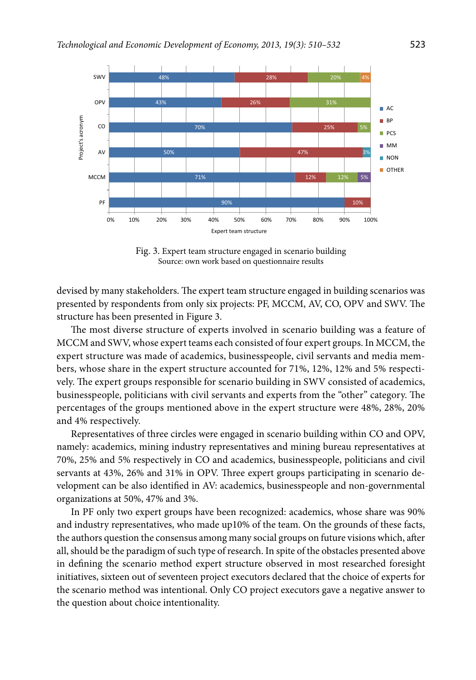

Fig. 3. Expert team structure engaged in scenario building Source: own work based on questionnaire results

devised by many stakeholders. The expert team structure engaged in building scenarios was presented by respondents from only six projects: PF, MCCM, AV, CO, OPV and SWV. The structure has been presented in Figure 3.

The most diverse structure of experts involved in scenario building was a feature of MCCM and SWV, whose expert teams each consisted of four expert groups. In MCCM, the expert structure was made of academics, businesspeople, civil servants and media members, whose share in the expert structure accounted for 71%, 12%, 12% and 5% respectively. The expert groups responsible for scenario building in SWV consisted of academics, businesspeople, politicians with civil servants and experts from the "other" category. The percentages of the groups mentioned above in the expert structure were 48%, 28%, 20% and 4% respectively.

Representatives of three circles were engaged in scenario building within CO and OPV, namely: academics, mining industry representatives and mining bureau representatives at 70%, 25% and 5% respectively in CO and academics, businesspeople, politicians and civil servants at 43%, 26% and 31% in OPV. Three expert groups participating in scenario development can be also identified in AV: academics, businesspeople and non-governmental organizations at 50%, 47% and 3%.

In PF only two expert groups have been recognized: academics, whose share was 90% and industry representatives, who made up10% of the team. On the grounds of these facts, the authors question the consensus among many social groups on future visions which, after all, should be the paradigm of such type of research. In spite of the obstacles presented above in defining the scenario method expert structure observed in most researched foresight initiatives, sixteen out of seventeen project executors declared that the choice of experts for the scenario method was intentional. Only CO project executors gave a negative answer to the question about choice intentionality.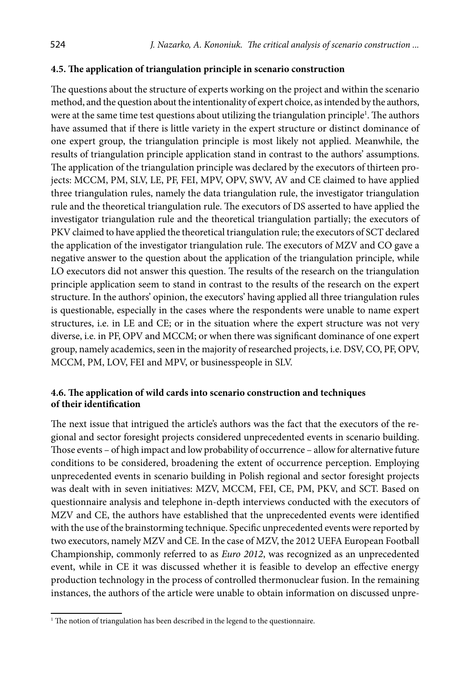#### **4.5. The application of triangulation principle in scenario construction**

The questions about the structure of experts working on the project and within the scenario method, and the question about the intentionality of expert choice, as intended by the authors, were at the same time test questions about utilizing the triangulation principle<sup>1</sup>. The authors have assumed that if there is little variety in the expert structure or distinct dominance of one expert group, the triangulation principle is most likely not applied. Meanwhile, the results of triangulation principle application stand in contrast to the authors' assumptions. The application of the triangulation principle was declared by the executors of thirteen projects: MCCM, PM, SLV, LE, PF, FEI, MPV, OPV, SWV, AV and CE claimed to have applied three triangulation rules, namely the data triangulation rule, the investigator triangulation rule and the theoretical triangulation rule. The executors of DS asserted to have applied the investigator triangulation rule and the theoretical triangulation partially; the executors of PKV claimed to have applied the theoretical triangulation rule; the executors of SCT declared the application of the investigator triangulation rule. The executors of MZV and CO gave a negative answer to the question about the application of the triangulation principle, while LO executors did not answer this question. The results of the research on the triangulation principle application seem to stand in contrast to the results of the research on the expert structure. In the authors' opinion, the executors' having applied all three triangulation rules is questionable, especially in the cases where the respondents were unable to name expert structures, i.e. in LE and CE; or in the situation where the expert structure was not very diverse, i.e. in PF, OPV and MCCM; or when there was significant dominance of one expert group, namely academics, seen in the majority of researched projects, i.e. DSV, CO, PF, OPV, MCCM, PM, LOV, FEI and MPV, or businesspeople in SLV.

# **4.6. The application of wild cards into scenario construction and techniques of their identification**

The next issue that intrigued the article's authors was the fact that the executors of the regional and sector foresight projects considered unprecedented events in scenario building. Those events – of high impact and low probability of occurrence – allow for alternative future conditions to be considered, broadening the extent of occurrence perception. Employing unprecedented events in scenario building in Polish regional and sector foresight projects was dealt with in seven initiatives: MZV, MCCM, FEI, CE, PM, PKV, and SCT. Based on questionnaire analysis and telephone in-depth interviews conducted with the executors of MZV and CE, the authors have established that the unprecedented events were identified with the use of the brainstorming technique. Specific unprecedented events were reported by two executors, namely MZV and CE. In the case of MZV, the 2012 UEFA European Football Championship, commonly referred to as *Euro 2012*, was recognized as an unprecedented event, while in CE it was discussed whether it is feasible to develop an effective energy production technology in the process of controlled thermonuclear fusion. In the remaining instances, the authors of the article were unable to obtain information on discussed unpre-

<sup>&</sup>lt;sup>1</sup> The notion of triangulation has been described in the legend to the questionnaire.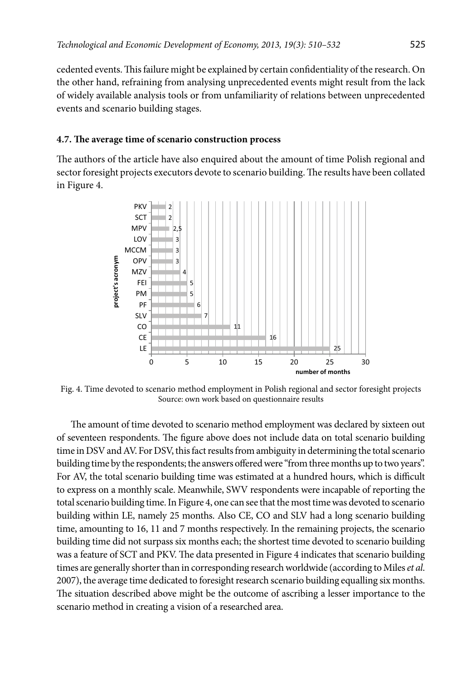cedented events. This failure might be explained by certain confidentiality of the research. On the other hand, refraining from analysing unprecedented events might result from the lack of widely available analysis tools or from unfamiliarity of relations between unprecedented events and scenario building stages.

## **4.7. The average time of scenario construction process**

The authors of the article have also enquired about the amount of time Polish regional and sector foresight projects executors devote to scenario building. The results have been collated in Figure 4.



Fig. 4. Time devoted to scenario method employment in Polish regional and sector foresight projects Source: own work based on questionnaire results

The amount of time devoted to scenario method employment was declared by sixteen out of seventeen respondents. The figure above does not include data on total scenario building time in DSV and AV. For DSV, this fact results from ambiguity in determining the total scenario building time by the respondents; the answers offered were "from three months up to two years". For AV, the total scenario building time was estimated at a hundred hours, which is difficult to express on a monthly scale. Meanwhile, SWV respondents were incapable of reporting the total scenario building time. In Figure 4, one can see that the most time was devoted to scenario building within LE, namely 25 months. Also CE, CO and SLV had a long scenario building time, amounting to 16, 11 and 7 months respectively. In the remaining projects, the scenario building time did not surpass six months each; the shortest time devoted to scenario building was a feature of SCT and PKV. The data presented in Figure 4 indicates that scenario building times are generally shorter than in corresponding research worldwide (according to Miles *et al*. 2007), the average time dedicated to foresight research scenario building equalling six months. The situation described above might be the outcome of ascribing a lesser importance to the scenario method in creating a vision of a researched area.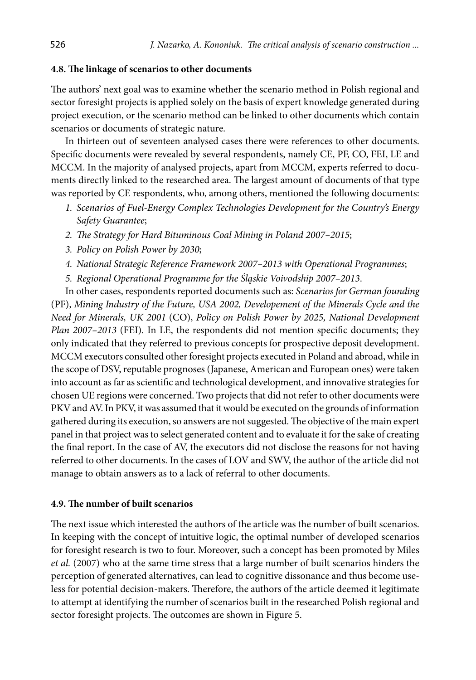#### **4.8. The linkage of scenarios to other documents**

The authors' next goal was to examine whether the scenario method in Polish regional and sector foresight projects is applied solely on the basis of expert knowledge generated during project execution, or the scenario method can be linked to other documents which contain scenarios or documents of strategic nature.

In thirteen out of seventeen analysed cases there were references to other documents. Specific documents were revealed by several respondents, namely CE, PF, CO, FEI, LE and MCCM. In the majority of analysed projects, apart from MCCM, experts referred to documents directly linked to the researched area. The largest amount of documents of that type was reported by CE respondents, who, among others, mentioned the following documents:

- *1. Scenarios of Fuel-Energy Complex Technologies Development for the Country's Energy Safety Guarantee*;
- *2. The Strategy for Hard Bituminous Coal Mining in Poland 2007–2015*;
- *3. Policy on Polish Power by 2030*;
- *4. National Strategic Reference Framework 2007–2013 with Operational Programmes*;
- *5. Regional Operational Programme for the Śląskie Voivodship 2007–2013*.

In other cases, respondents reported documents such as: *Scenarios for German founding* (PF), *Mining Industry of the Future, USA 2002, Developement of the Minerals Cycle and the Need for Minerals, UK 2001* (CO), *Policy on Polish Power by 2025, National Development Plan 2007–2013* (FEI)*.* In LE, the respondents did not mention specific documents; they only indicated that they referred to previous concepts for prospective deposit development. MCCM executors consulted other foresight projects executed in Poland and abroad, while in the scope of DSV, reputable prognoses (Japanese, American and European ones) were taken into account as far as scientific and technological development, and innovative strategies for chosen UE regions were concerned. Two projects that did not refer to other documents were PKV and AV. In PKV, it was assumed that it would be executed on the grounds of information gathered during its execution, so answers are not suggested. The objective of the main expert panel in that project was to select generated content and to evaluate it for the sake of creating the final report. In the case of AV, the executors did not disclose the reasons for not having referred to other documents. In the cases of LOV and SWV, the author of the article did not manage to obtain answers as to a lack of referral to other documents.

#### **4.9. The number of built scenarios**

The next issue which interested the authors of the article was the number of built scenarios. In keeping with the concept of intuitive logic, the optimal number of developed scenarios for foresight research is two to four. Moreover, such a concept has been promoted by Miles *et al.* (2007) who at the same time stress that a large number of built scenarios hinders the perception of generated alternatives, can lead to cognitive dissonance and thus become useless for potential decision-makers. Therefore, the authors of the article deemed it legitimate to attempt at identifying the number of scenarios built in the researched Polish regional and sector foresight projects. The outcomes are shown in Figure 5.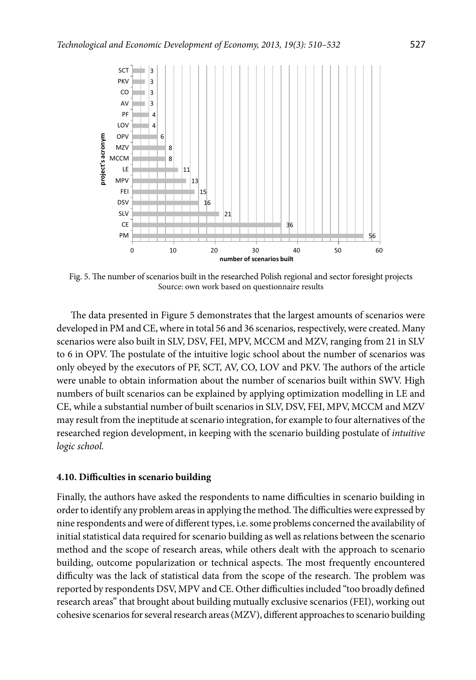

Fig. 5. The number of scenarios built in the researched Polish regional and sector foresight projects Source: own work based on questionnaire results

The data presented in Figure 5 demonstrates that the largest amounts of scenarios were developed in PM and CE, where in total 56 and 36 scenarios, respectively, were created. Many scenarios were also built in SLV, DSV, FEI, MPV, MCCM and MZV, ranging from 21 in SLV to 6 in OPV. The postulate of the intuitive logic school about the number of scenarios was only obeyed by the executors of PF, SCT, AV, CO, LOV and PKV. The authors of the article were unable to obtain information about the number of scenarios built within SWV. High numbers of built scenarios can be explained by applying optimization modelling in LE and CE, while a substantial number of built scenarios in SLV, DSV, FEI, MPV, MCCM and MZV may result from the ineptitude at scenario integration, for example to four alternatives of the researched region development, in keeping with the scenario building postulate of *intuitive logic school.*

### **4.10. Difficulties in scenario building**

Finally, the authors have asked the respondents to name difficulties in scenario building in order to identify any problem areas in applying the method. The difficulties were expressed by nine respondents and were of different types, i.e. some problems concerned the availability of initial statistical data required for scenario building as well as relations between the scenario method and the scope of research areas, while others dealt with the approach to scenario building, outcome popularization or technical aspects. The most frequently encountered difficulty was the lack of statistical data from the scope of the research. The problem was reported by respondents DSV, MPV and CE. Other difficulties included "too broadly defined research areas" that brought about building mutually exclusive scenarios (FEI), working out cohesive scenarios for several research areas (MZV), different approaches to scenario building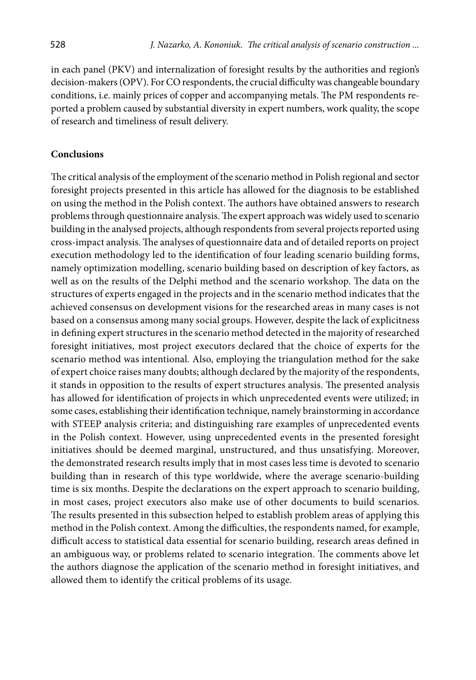in each panel (PKV) and internalization of foresight results by the authorities and region's decision-makers (OPV). For CO respondents, the crucial difficulty was changeable boundary conditions, i.e. mainly prices of copper and accompanying metals. The PM respondents reported a problem caused by substantial diversity in expert numbers, work quality, the scope of research and timeliness of result delivery.

## **Conclusions**

The critical analysis of the employment of the scenario method in Polish regional and sector foresight projects presented in this article has allowed for the diagnosis to be established on using the method in the Polish context. The authors have obtained answers to research problems through questionnaire analysis. The expert approach was widely used to scenario building in the analysed projects, although respondents from several projects reported using cross-impact analysis. The analyses of questionnaire data and of detailed reports on project execution methodology led to the identification of four leading scenario building forms, namely optimization modelling, scenario building based on description of key factors, as well as on the results of the Delphi method and the scenario workshop. The data on the structures of experts engaged in the projects and in the scenario method indicates that the achieved consensus on development visions for the researched areas in many cases is not based on a consensus among many social groups. However, despite the lack of explicitness in defining expert structures in the scenario method detected in the majority of researched foresight initiatives, most project executors declared that the choice of experts for the scenario method was intentional. Also, employing the triangulation method for the sake of expert choice raises many doubts; although declared by the majority of the respondents, it stands in opposition to the results of expert structures analysis. The presented analysis has allowed for identification of projects in which unprecedented events were utilized; in some cases, establishing their identification technique, namely brainstorming in accordance with STEEP analysis criteria; and distinguishing rare examples of unprecedented events in the Polish context. However, using unprecedented events in the presented foresight initiatives should be deemed marginal, unstructured, and thus unsatisfying. Moreover, the demonstrated research results imply that in most cases less time is devoted to scenario building than in research of this type worldwide, where the average scenario-building time is six months. Despite the declarations on the expert approach to scenario building, in most cases, project executors also make use of other documents to build scenarios. The results presented in this subsection helped to establish problem areas of applying this method in the Polish context. Among the difficulties, the respondents named, for example, difficult access to statistical data essential for scenario building, research areas defined in an ambiguous way, or problems related to scenario integration. The comments above let the authors diagnose the application of the scenario method in foresight initiatives, and allowed them to identify the critical problems of its usage.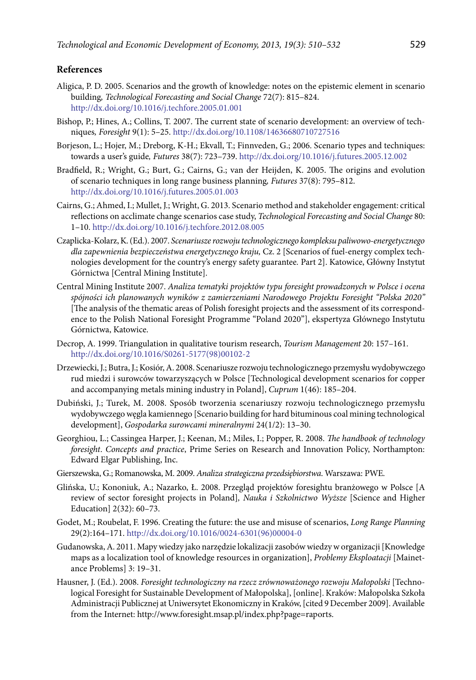#### **References**

- Aligica, P. D. 2005. Scenarios and the growth of knowledge: notes on the epistemic element in scenario building*, Technological Forecasting and Social Change* 72(7): 815–824. <http://dx.doi.org/10.1016/j.techfore.2005.01.001>
- Bishop, P.; Hines, A.; Collins, T. 2007. The current state of scenario development: an overview of techniques*, Foresight* 9(1): 5–25.<http://dx.doi.org/10.1108/14636680710727516>
- Borjeson, L.; Hojer, M.; Dreborg, K-H.; Ekvall, T.; Finnveden, G.; 2006. Scenario types and techniques: towards a user's guide*, Futures* 38(7): 723–739.<http://dx.doi.org/10.1016/j.futures.2005.12.002>
- Bradfield, R.; Wright, G.; Burt, G.; Cairns, G.; van der Heijden, K. 2005. The origins and evolution of scenario techniques in long range business planning*, Futures* 37(8): 795–812. <http://dx.doi.org/10.1016/j.futures.2005.01.003>
- Cairns, G.; Ahmed, I.; Mullet, J.; Wright, G. 2013. Scenario method and stakeholder engagement: critical reflections on acclimate change scenarios case study, *Technological Forecasting and Social Change* 80: 1–10. <http://dx.doi.org/10.1016/j.techfore.2012.08.005>
- Czaplicka-Kolarz, K. (Ed.). 2007. *Scenariusze rozwoju technologicznego kompleksu paliwowo-energetycznego dla zapewnienia bezpieczeństwa energetycznego kraju,* Cz. 2 [Scenarios of fuel-energy complex technologies development for the country's energy safety guarantee*.* Part 2]. Katowice, Główny Instytut Górnictwa [Central Mining Institute].
- Central Mining Institute 2007. *Analiza tematyki projektów typu foresight prowadzonych w Polsce i ocena spójności ich planowanych wyników z zamierzeniami Narodowego Projektu Foresight "Polska 2020"* [The analysis of the thematic areas of Polish foresight projects and the assessment of its correspondence to the Polish National Foresight Programme "Poland 2020"], ekspertyza Głównego Instytutu Górnictwa, Katowice.
- Decrop, A. 1999. Triangulation in qualitative tourism research, *Tourism Management* 20: 157–161. [http://dx.doi.org/10.1016/S0261-5177\(98\)00102-2](http://dx.doi.org/10.1016/S0261-5177(98)00102-2)
- Drzewiecki, J.; Butra, J.; Kosiór, A. 2008. Scenariusze rozwoju technologicznego przemysłu wydobywczego rud miedzi i surowców towarzyszących w Polsce [Technological development scenarios for copper and accompanying metals mining industry in Poland], *Cuprum* 1(46): 185–204.
- Dubiński, J.; Turek, M. 2008. Sposób tworzenia scenariuszy rozwoju technologicznego przemysłu wydobywczego węgla kamiennego [Scenario building for hard bituminous coal mining technological development], *Gospodarka surowcami mineralnymi* 24(1/2): 13–30.
- Georghiou, L.; Cassingea Harper, J.; Keenan, M.; Miles, I.; Popper, R. 2008. *The handbook of technology foresight*. *Concepts and practice*, Prime Series on Research and Innovation Policy, Northampton: Edward Elgar Publishing, Inc.
- Gierszewska, G.; Romanowska, M. 2009. *Analiza strategiczna przedsiębiorstwa*. Warszawa: PWE.
- Glińska, U.; Kononiuk, A.; Nazarko, Ł. 2008. Przegląd projektów foresightu branżowego w Polsce [A review of sector foresight projects in Poland]*, Nauka i Szkolnictwo Wyższe* [Science and Higher Education] 2(32): 60–73.
- Godet, M.; Roubelat, F. 1996. Creating the future: the use and misuse of scenarios, *Long Range Planning* 29(2):164–171. [http://dx.doi.org/10.1016/0024-6301\(96\)00004-0](http://dx.doi.org/10.1016/0024-6301(96)00004-0)
- Gudanowska, A. 2011. Mapy wiedzy jako narzędzie lokalizacji zasobów wiedzy w organizacji [Knowledge maps as a localization tool of knowledge resources in organization], *Problemy Eksploatacji* [Mainetance Problems] 3: 19–31.
- Hausner, J. (Ed.). 2008. *Foresight technologiczny na rzecz zrównoważonego rozwoju Małopolski* [Technological Foresight for Sustainable Development of Małopolska], [online]. Kraków: Małopolska Szkoła Administracji Publicznej at Uniwersytet Ekonomiczny in Kraków, [cited 9 December 2009]. Available from the Internet: [http://www.foresight.msap.pl/index.php?page=raports.](http://www.foresight.msap.pl/index.php?page=raports)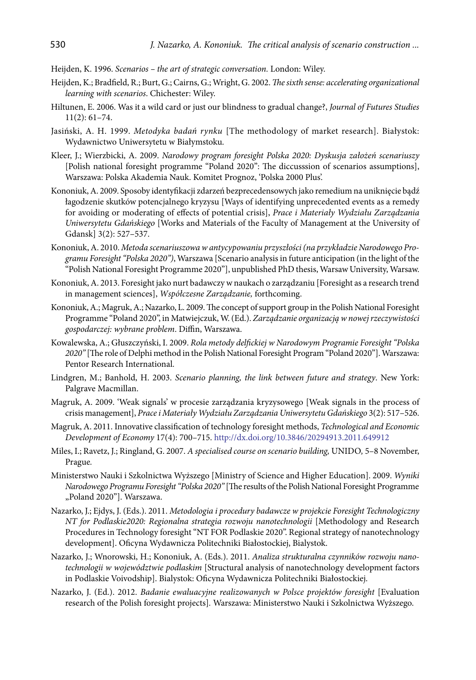- Heijden, K. 1996. *Scenarios the art of strategic conversation.* London: Wiley.
- Heijden, K.; Bradfield, R.; Burt, G.; Cairns, G.; Wright, G. 2002. *The sixth sense: accelerating organizational learning with scenarios*. Chichester: Wiley.
- Hiltunen, E. 2006. Was it a wild card or just our blindness to gradual change?, *Journal of Futures Studies* 11(2): 61–74.
- Jasiński, A. H. 1999. *Metodyka badań rynku* [The methodology of market research]. Białystok: Wydawnictwo Uniwersytetu w Białymstoku.
- Kleer, J.; Wierzbicki, A. 2009. *Narodowy program foresight Polska 2020: Dyskusja założeń scenariuszy*  [Polish national foresight programme "Poland 2020": The diccusssion of scenarios assumptions], Warszawa: Polska Akademia Nauk. Komitet Prognoz, 'Polska 2000 Plus'.
- Kononiuk, A. 2009. Sposoby identyfikacji zdarzeń bezprecedensowych jako remedium na uniknięcie bądź łagodzenie skutków potencjalnego kryzysu [Ways of identifying unprecedented events as a remedy for avoiding or moderating of effects of potential crisis], *Prace i Materiały Wydziału Zarządzania Uniwersytetu Gdańskiego* [Works and Materials of the Faculty of Management at the University of Gdansk] 3(2): 527–537.
- Kononiuk, A. 2010. *Metoda scenariuszowa w antycypowaniu przyszłości (na przykładzie Narodowego Programu Foresight "Polska 2020")*, Warszawa [Scenario analysis in future anticipation (in the light of the "Polish National Foresight Programme 2020"], unpublished PhD thesis, Warsaw University, Warsaw.
- Kononiuk, A. 2013. Foresight jako nurt badawczy w naukach o zarządzaniu [Foresight as a research trend in management sciences], *Współczesne Zarządzanie,* forthcoming.
- Kononiuk, A.; Magruk, A.; Nazarko, L. 2009. The concept of support group in the Polish National Foresight Programme "Poland 2020", in Matwiejczuk, W. (Ed.). *Zarządzanie organizacją w nowej rzeczywistości gospodarczej: wybrane problem*. Diffin, Warszawa.
- Kowalewska, A.; Głuszczyński, I. 2009. *Rola metody delfickiej w Narodowym Programie Foresight "Polska 2020"* [The role of Delphi method in the Polish National Foresight Program "Poland 2020"]. Warszawa: Pentor Research International.
- Lindgren, M.; Banhold, H. 2003. *Scenario planning, the link between future and strategy*. New York: Palgrave Macmillan.
- Magruk, A. 2009. 'Weak signals' w procesie zarządzania kryzysowego [Weak signals in the process of crisis management], *Prace i Materiały Wydziału Zarządzania Uniwersytetu Gdańskiego* 3(2): 517–526.
- Magruk, A. 2011. Innovative classification of technology foresight methods, *Technological and Economic Development of Economy* 17(4): 700–715.<http://dx.doi.org/10.3846/20294913.2011.649912>
- Miles, I.; Ravetz, J.; Ringland, G. 2007. *A specialised course on scenario building,* UNIDO*,* 5–8 November, Prague*.*
- Ministerstwo Nauki i Szkolnictwa Wyższego [Ministry of Science and Higher Education]. 2009. *Wyniki Narodowego Programu Foresight "Polska 2020"* [The results of the Polish National Foresight Programme "Poland 2020"]. Warszawa.
- Nazarko, J.; Ejdys, J. (Eds.). 2011. *Metodologia i procedury badawcze w projekcie Foresight Technologiczny NT for Podlaskie2020: Regionalna strategia rozwoju nanotechnologii* [Methodology and Research Procedures in Technology foresight "NT FOR Podlaskie 2020". Regional strategy of nanotechnology development]. Oficyna Wydawnicza Politechniki Białostockiej, Bialystok.
- Nazarko, J.; Wnorowski, H.; Kononiuk, A. (Eds.). 2011. *Analiza strukturalna czynników rozwoju nanotechnologii w województwie podlaskim* [Structural analysis of nanotechnology development factors in Podlaskie Voivodship]. Bialystok: Oficyna Wydawnicza Politechniki Białostockiej.
- Nazarko, J. (Ed.). 2012. *Badanie ewaluacyjne realizowanych w Polsce projektów foresight* [Evaluation research of the Polish foresight projects]*.* Warszawa: Ministerstwo Nauki i Szkolnictwa Wyższego.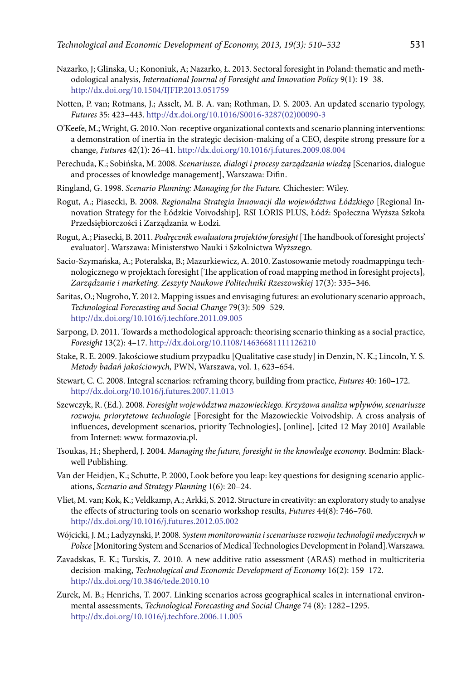- Nazarko, J; Glinska, U.; Kononiuk, A; Nazarko, Ł. 2013. Sectoral foresight in Poland: thematic and methodological analysis, *International Journal of Foresight and Innovation Policy* 9(1): 19–38. <http://dx.doi.org/10.1504/IJFIP.2013.051759>
- Notten, P. van; Rotmans, J.; Asselt, M. B. A. van; Rothman, D. S. 2003. An updated scenario typology, *Futures* 35: 423–443. [http://dx.doi.org/10.1016/S0016-3287\(02\)00090-3](http://dx.doi.org/10.1016/S0016-3287(02)00090-3)
- O'Keefe, M.; Wright, G. 2010. Non-receptive organizational contexts and scenario planning interventions: a demonstration of inertia in the strategic decision-making of a CEO, despite strong pressure for a change, *Futures* 42(1): 26–41. <http://dx.doi.org/10.1016/j.futures.2009.08.004>
- Perechuda, K.; Sobińska, M. 2008. *Scenariusze, dialogi i procesy zarządzania wiedzą* [Scenarios, dialogue and processes of knowledge management], Warszawa: Difin.
- Ringland, G. 1998. *Scenario Planning: Managing for the Future.* Chichester: Wiley.
- Rogut, A.; Piasecki, B. 2008. *Regionalna Strategia Innowacji dla województwa Łódzkiego* [Regional Innovation Strategy for the Łódzkie Voivodship]*,* RSI LORIS PLUS, Łódź: Społeczna Wyższa Szkoła Przedsiębiorczości i Zarządzania w Łodzi.
- Rogut, A.; Piasecki, B. 2011. *Podręcznik ewaluatora projektów foresight* [The handbook of foresight projects' evaluator]. Warszawa: Ministerstwo Nauki i Szkolnictwa Wyższego.
- Sacio-Szymańska, A.; Poteralska, B.; Mazurkiewicz, A. 2010. Zastosowanie metody roadmappingu technologicznego w projektach foresight [The application of road mapping method in foresight projects], *Zarządzanie i marketing. Zeszyty Naukowe Politechniki Rzeszowskiej* 17(3): 335–346*.*
- Saritas, O.; Nugroho, Y. 2012. Mapping issues and envisaging futures: an evolutionary scenario approach, *Technological Forecasting and Social Change* 79(3): 509–529. <http://dx.doi.org/10.1016/j.techfore.2011.09.005>
- Sarpong, D. 2011. Towards a methodological approach: theorising scenario thinking as a social practice, *Foresight* 13(2): 4–17.<http://dx.doi.org/10.1108/14636681111126210>
- Stake, R. E. 2009. Jakościowe studium przypadku [Qualitative case study] in Denzin, N. K.; Lincoln, Y. S. *Metody badań jakościowych,* PWN, Warszawa, vol. 1, 623–654.
- Stewart, C. C. 2008. Integral scenarios: reframing theory, building from practice, *Futures* 40: 160–172. <http://dx.doi.org/10.1016/j.futures.2007.11.013>
- Szewczyk, R. (Ed.). 2008. *Foresight województwa mazowieckiego. Krzyżowa analiza wpływów, scenariusze rozwoju, priorytetowe technologie* [Foresight for the Mazowieckie Voivodship. A cross analysis of influences, development scenarios, priority Technologies], [online], [cited 12 May 2010] Available from Internet: www. formazovia.pl.
- Tsoukas, H.; Shepherd, J. 2004. *Managing the future, foresight in the knowledge economy*. Bodmin: Blackwell Publishing.
- Van der Heidjen, K.; Schutte, P. 2000, Look before you leap: key questions for designing scenario applications, *Scenario and Strategy Planning* 1(6): 20–24.
- Vliet, M. van; Kok, K.; Veldkamp, A.; Arkki, S. 2012. Structure in creativity: an exploratory study to analyse the effects of structuring tools on scenario workshop results, *Futures* 44(8): 746–760. <http://dx.doi.org/10.1016/j.futures.2012.05.002>
- Wójcicki, J. M.; Ladyzynski, P. 2008*. System monitorowania i scenariusze rozwoju technologii medycznych w Polsce* [Monitoring System and Scenarios of Medical Technologies Development in Poland].Warszawa.
- Zavadskas, E. K.; Turskis, Z. 2010. A new additive ratio assessment (ARAS) method in multicriteria decision-making, *Technological and Economic Development of Economy* 16(2): 159–172. <http://dx.doi.org/10.3846/tede.2010.10>
- Zurek, M. B.; Henrichs, T. 2007. Linking scenarios across geographical scales in international environmental assessments, *Technological Forecasting and Social Change* 74 (8): 1282–1295. <http://dx.doi.org/10.1016/j.techfore.2006.11.005>